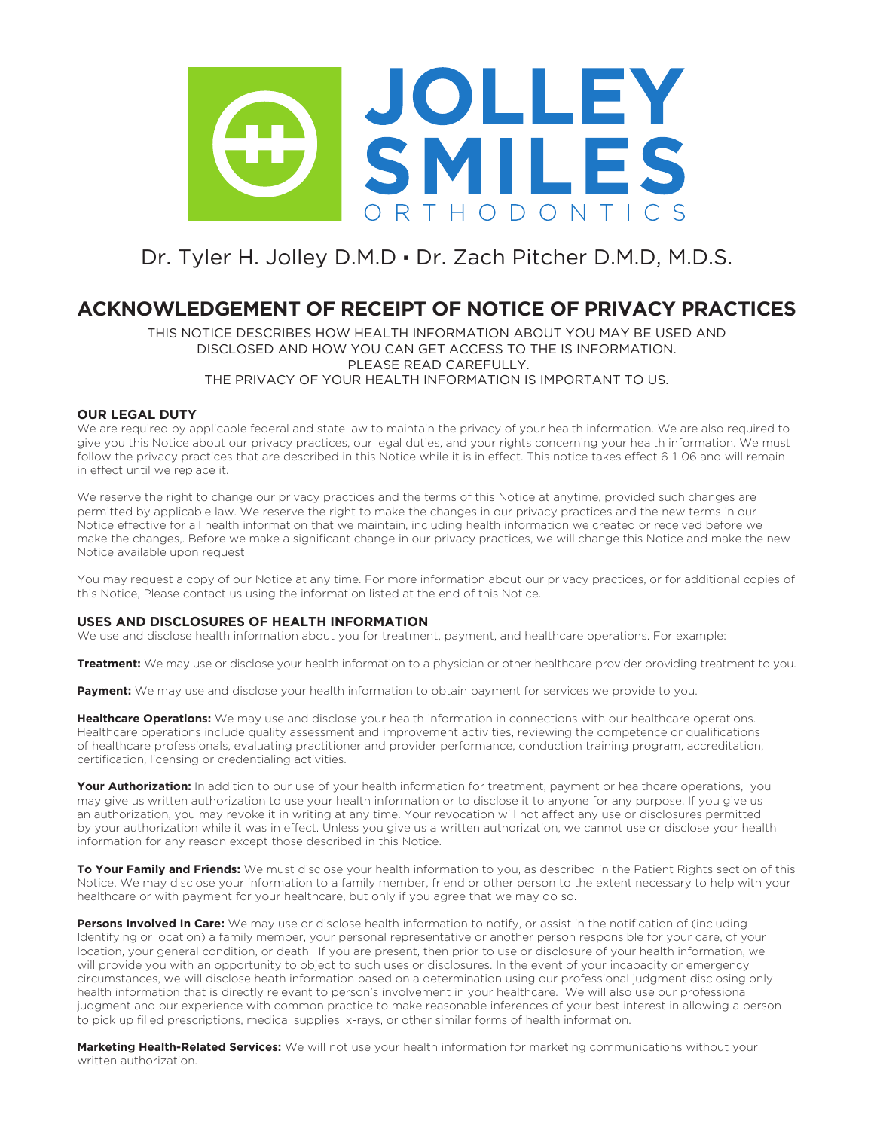

# Dr. Tyler H. Jolley D.M.D · Dr. Zach Pitcher D.M.D, M.D.S.

### **ACKNOWLEDGEMENT OF RECEIPT OF NOTICE OF PRIVACY PRACTICES**

THIS NOTICE DESCRIBES HOW HEALTH INFORMATION ABOUT YOU MAY BE USED AND DISCLOSED AND HOW YOU CAN GET ACCESS TO THE IS INFORMATION. PLEASE READ CAREFULLY. THE PRIVACY OF YOUR HEALTH INFORMATION IS IMPORTANT TO US.

#### **OUR LEGAL DUTY**

We are required by applicable federal and state law to maintain the privacy of your health information. We are also required to give you this Notice about our privacy practices, our legal duties, and your rights concerning your health information. We must follow the privacy practices that are described in this Notice while it is in effect. This notice takes effect 6-1-06 and will remain in effect until we replace it.

We reserve the right to change our privacy practices and the terms of this Notice at anytime, provided such changes are permitted by applicable law. We reserve the right to make the changes in our privacy practices and the new terms in our Notice effective for all health information that we maintain, including health information we created or received before we make the changes,. Before we make a significant change in our privacy practices, we will change this Notice and make the new Notice available upon request.

You may request a copy of our Notice at any time. For more information about our privacy practices, or for additional copies of this Notice, Please contact us using the information listed at the end of this Notice.

#### **USES AND DISCLOSURES OF HEALTH INFORMATION**

We use and disclose health information about you for treatment, payment, and healthcare operations. For example:

**Treatment:** We may use or disclose your health information to a physician or other healthcare provider providing treatment to you.

Payment: We may use and disclose your health information to obtain payment for services we provide to you.

**Healthcare Operations:** We may use and disclose your health information in connections with our healthcare operations. Healthcare operations include quality assessment and improvement activities, reviewing the competence or qualifications of healthcare professionals, evaluating practitioner and provider performance, conduction training program, accreditation, certification, licensing or credentialing activities.

Your Authorization: In addition to our use of your health information for treatment, payment or healthcare operations, you may give us written authorization to use your health information or to disclose it to anyone for any purpose. If you give us an authorization, you may revoke it in writing at any time. Your revocation will not affect any use or disclosures permitted by your authorization while it was in effect. Unless you give us a written authorization, we cannot use or disclose your health information for any reason except those described in this Notice.

**To Your Family and Friends:** We must disclose your health information to you, as described in the Patient Rights section of this Notice. We may disclose your information to a family member, friend or other person to the extent necessary to help with your healthcare or with payment for your healthcare, but only if you agree that we may do so.

**Persons Involved In Care:** We may use or disclose health information to notify, or assist in the notification of (including Identifying or location) a family member, your personal representative or another person responsible for your care, of your location, your general condition, or death. If you are present, then prior to use or disclosure of your health information, we will provide you with an opportunity to object to such uses or disclosures. In the event of your incapacity or emergency circumstances, we will disclose heath information based on a determination using our professional judgment disclosing only health information that is directly relevant to person's involvement in your healthcare. We will also use our professional judgment and our experience with common practice to make reasonable inferences of your best interest in allowing a person to pick up filled prescriptions, medical supplies, x-rays, or other similar forms of health information.

**Marketing Health-Related Services:** We will not use your health information for marketing communications without your written authorization.